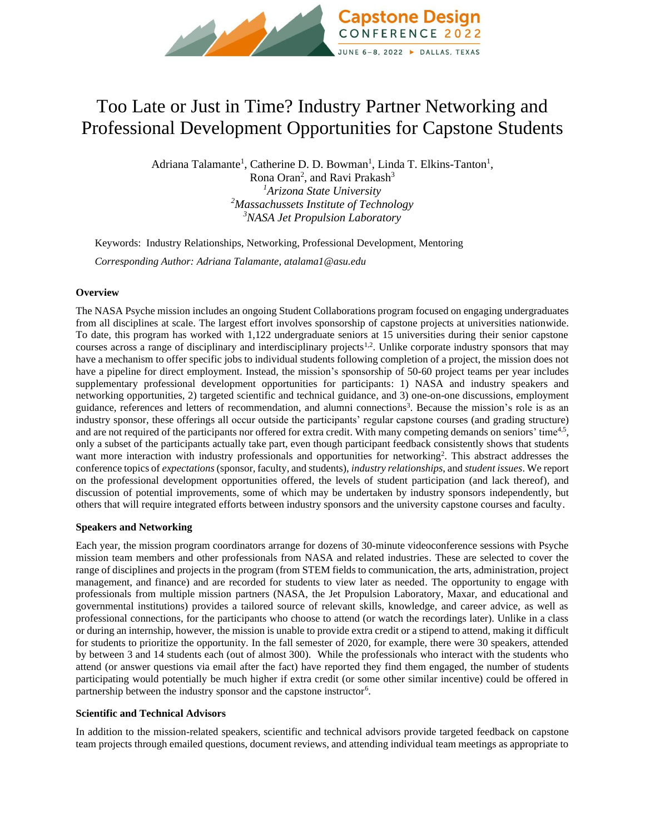

# Too Late or Just in Time? Industry Partner Networking and Professional Development Opportunities for Capstone Students

Adriana Talamante<sup>1</sup>, Catherine D. D. Bowman<sup>1</sup>, Linda T. Elkins-Tanton<sup>1</sup>, Rona Oran<sup>2</sup>, and Ravi Prakash<sup>3</sup> *<sup>1</sup>Arizona State University <sup>2</sup>Massachussets Institute of Technology <sup>3</sup>NASA Jet Propulsion Laboratory*

Keywords:Industry Relationships, Networking, Professional Development, Mentoring *Corresponding Author: Adriana Talamante, atalama1@asu.edu*

# **Overview**

The NASA Psyche mission includes an ongoing Student Collaborations program focused on engaging undergraduates from all disciplines at scale. The largest effort involves sponsorship of capstone projects at universities nationwide. To date, this program has worked with 1,122 undergraduate seniors at 15 universities during their senior capstone courses across a range of disciplinary and interdisciplinary projects<sup>1,2</sup>. Unlike corporate industry sponsors that may have a mechanism to offer specific jobs to individual students following completion of a project, the mission does not have a pipeline for direct employment. Instead, the mission's sponsorship of 50-60 project teams per year includes supplementary professional development opportunities for participants: 1) NASA and industry speakers and networking opportunities, 2) targeted scientific and technical guidance, and 3) one-on-one discussions, employment guidance, references and letters of recommendation, and alumni connections<sup>3</sup>. Because the mission's role is as an industry sponsor, these offerings all occur outside the participants' regular capstone courses (and grading structure) and are not required of the participants nor offered for extra credit. With many competing demands on seniors' time<sup>4,5</sup>, only a subset of the participants actually take part, even though participant feedback consistently shows that students want more interaction with industry professionals and opportunities for networking<sup>2</sup>. This abstract addresses the conference topics of *expectations* (sponsor, faculty, and students), *industry relationships*, and *student issues*. We report on the professional development opportunities offered, the levels of student participation (and lack thereof), and discussion of potential improvements, some of which may be undertaken by industry sponsors independently, but others that will require integrated efforts between industry sponsors and the university capstone courses and faculty.

## **Speakers and Networking**

Each year, the mission program coordinators arrange for dozens of 30-minute videoconference sessions with Psyche mission team members and other professionals from NASA and related industries. These are selected to cover the range of disciplines and projects in the program (from STEM fields to communication, the arts, administration, project management, and finance) and are recorded for students to view later as needed. The opportunity to engage with professionals from multiple mission partners (NASA, the Jet Propulsion Laboratory, Maxar, and educational and governmental institutions) provides a tailored source of relevant skills, knowledge, and career advice, as well as professional connections, for the participants who choose to attend (or watch the recordings later). Unlike in a class or during an internship, however, the mission is unable to provide extra credit or a stipend to attend, making it difficult for students to prioritize the opportunity. In the fall semester of 2020, for example, there were 30 speakers, attended by between 3 and 14 students each (out of almost 300). While the professionals who interact with the students who attend (or answer questions via email after the fact) have reported they find them engaged, the number of students participating would potentially be much higher if extra credit (or some other similar incentive) could be offered in partnership between the industry sponsor and the capstone instructor<sup>6</sup>.

## **Scientific and Technical Advisors**

In addition to the mission-related speakers, scientific and technical advisors provide targeted feedback on capstone team projects through emailed questions, document reviews, and attending individual team meetings as appropriate to